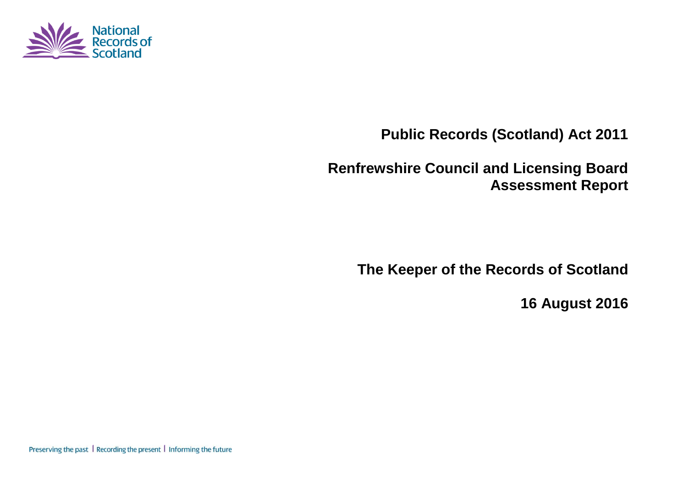

**Public Records (Scotland) Act 2011**

**Renfrewshire Council and Licensing Board Assessment Report**

**The Keeper of the Records of Scotland**

**16 August 2016**

Preserving the past | Recording the present | Informing the future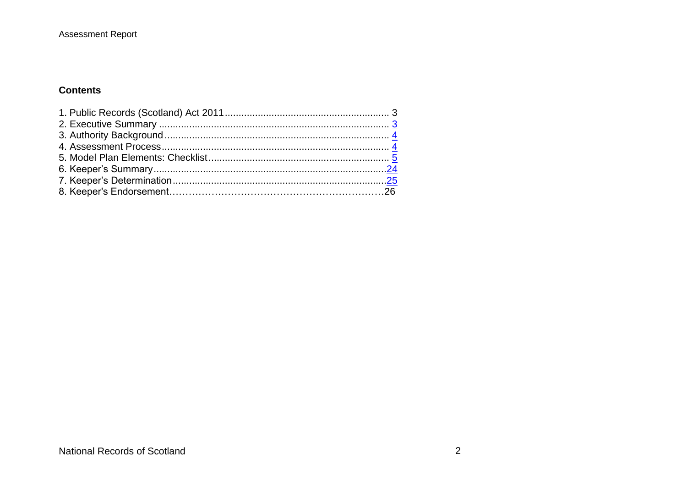## **Contents**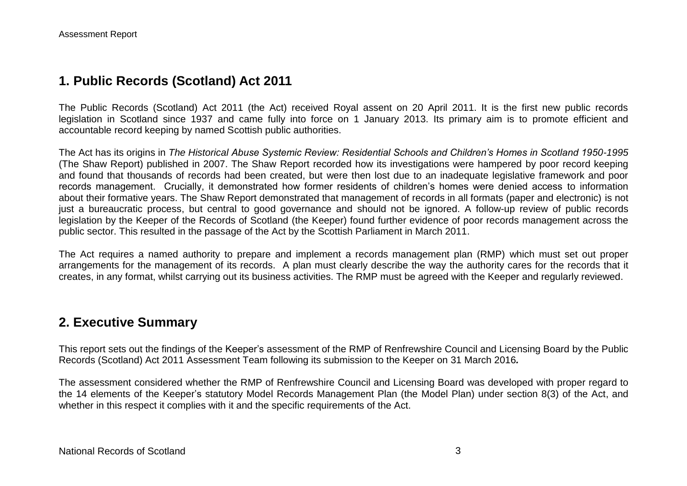## **1. Public Records (Scotland) Act 2011**

The Public Records (Scotland) Act 2011 (the Act) received Royal assent on 20 April 2011. It is the first new public records legislation in Scotland since 1937 and came fully into force on 1 January 2013. Its primary aim is to promote efficient and accountable record keeping by named Scottish public authorities.

The Act has its origins in *The Historical Abuse Systemic Review: Residential Schools and Children's Homes in Scotland 1950-1995* (The Shaw Report) published in 2007. The Shaw Report recorded how its investigations were hampered by poor record keeping and found that thousands of records had been created, but were then lost due to an inadequate legislative framework and poor records management. Crucially, it demonstrated how former residents of children's homes were denied access to information about their formative years. The Shaw Report demonstrated that management of records in all formats (paper and electronic) is not just a bureaucratic process, but central to good governance and should not be ignored. A follow-up review of public records legislation by the Keeper of the Records of Scotland (the Keeper) found further evidence of poor records management across the public sector. This resulted in the passage of the Act by the Scottish Parliament in March 2011.

The Act requires a named authority to prepare and implement a records management plan (RMP) which must set out proper arrangements for the management of its records. A plan must clearly describe the way the authority cares for the records that it creates, in any format, whilst carrying out its business activities. The RMP must be agreed with the Keeper and regularly reviewed.

## **2. Executive Summary**

This report sets out the findings of the Keeper's assessment of the RMP of Renfrewshire Council and Licensing Board by the Public Records (Scotland) Act 2011 Assessment Team following its submission to the Keeper on 31 March 2016*.*

The assessment considered whether the RMP of Renfrewshire Council and Licensing Board was developed with proper regard to the 14 elements of the Keeper's statutory Model Records Management Plan (the Model Plan) under section 8(3) of the Act, and whether in this respect it complies with it and the specific requirements of the Act.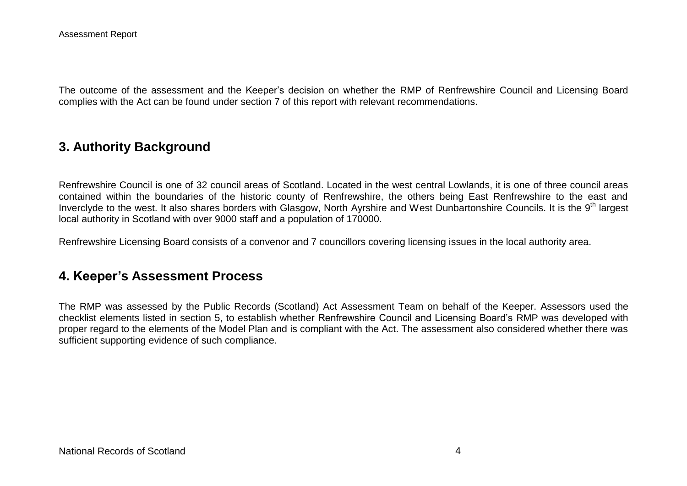The outcome of the assessment and the Keeper's decision on whether the RMP of Renfrewshire Council and Licensing Board complies with the Act can be found under section 7 of this report with relevant recommendations.

## **3. Authority Background**

Renfrewshire Council is one of 32 council areas of Scotland. Located in the west central Lowlands, it is one of three council areas contained within the boundaries of the historic county of Renfrewshire, the others being East Renfrewshire to the east and Inverclyde to the west. It also shares borders with Glasgow, North Ayrshire and West Dunbartonshire Councils. It is the 9<sup>th</sup> largest local authority in Scotland with over 9000 staff and a population of 170000.

Renfrewshire Licensing Board consists of a convenor and 7 councillors covering licensing issues in the local authority area.

## **4. Keeper's Assessment Process**

The RMP was assessed by the Public Records (Scotland) Act Assessment Team on behalf of the Keeper. Assessors used the checklist elements listed in section 5, to establish whether Renfrewshire Council and Licensing Board's RMP was developed with proper regard to the elements of the Model Plan and is compliant with the Act. The assessment also considered whether there was sufficient supporting evidence of such compliance.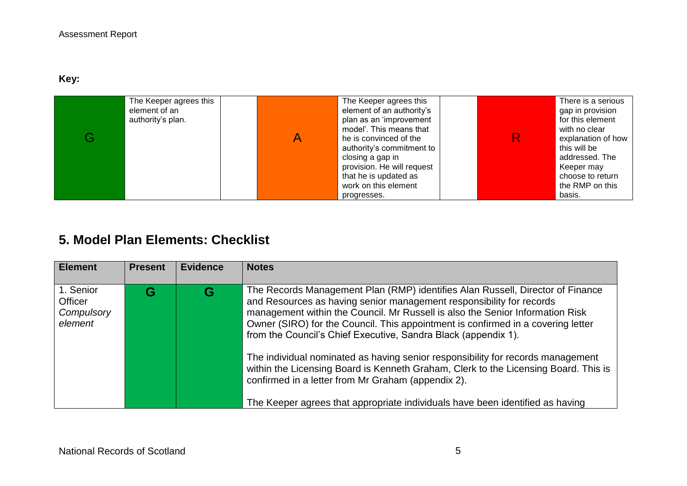**Key:** 

| The Keeper agrees this<br>element of an<br>authority's plan. | The Keeper agrees this<br>element of an authority's<br>plan as an 'improvement<br>model'. This means that<br>he is convinced of the<br>authority's commitment to<br>closing a gap in<br>provision. He will request<br>that he is updated as<br>work on this element |  | There is a serious<br>gap in provision<br>for this element<br>with no clear<br>explanation of how<br>this will be<br>addressed. The<br>Keeper may<br>choose to return<br>the RMP on this |
|--------------------------------------------------------------|---------------------------------------------------------------------------------------------------------------------------------------------------------------------------------------------------------------------------------------------------------------------|--|------------------------------------------------------------------------------------------------------------------------------------------------------------------------------------------|
|                                                              | progresses.                                                                                                                                                                                                                                                         |  | basis.                                                                                                                                                                                   |

# **5. Model Plan Elements: Checklist**

| <b>Element</b>                                | <b>Present</b> | Evidence | <b>Notes</b>                                                                                                                                                                                                                                                                                                                                                                                                                                                                                                                                                                                                                                                                                                   |
|-----------------------------------------------|----------------|----------|----------------------------------------------------------------------------------------------------------------------------------------------------------------------------------------------------------------------------------------------------------------------------------------------------------------------------------------------------------------------------------------------------------------------------------------------------------------------------------------------------------------------------------------------------------------------------------------------------------------------------------------------------------------------------------------------------------------|
| 1. Senior<br>Officer<br>Compulsory<br>element | G              | G        | The Records Management Plan (RMP) identifies Alan Russell, Director of Finance<br>and Resources as having senior management responsibility for records<br>management within the Council. Mr Russell is also the Senior Information Risk<br>Owner (SIRO) for the Council. This appointment is confirmed in a covering letter<br>from the Council's Chief Executive, Sandra Black (appendix 1).<br>The individual nominated as having senior responsibility for records management<br>within the Licensing Board is Kenneth Graham, Clerk to the Licensing Board. This is<br>confirmed in a letter from Mr Graham (appendix 2).<br>The Keeper agrees that appropriate individuals have been identified as having |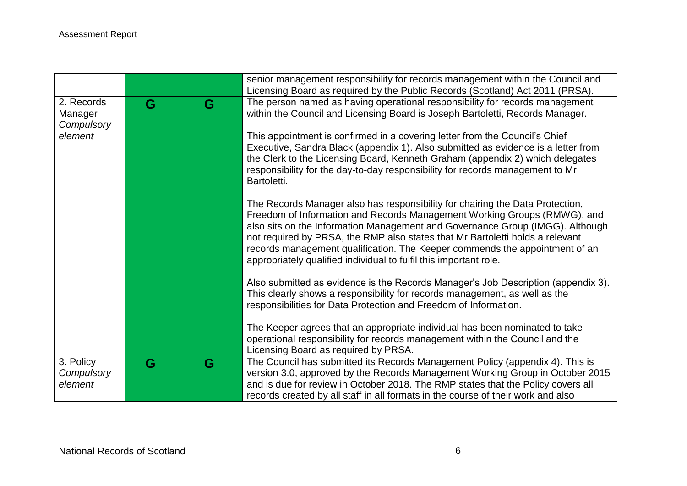|                                     |   |   | senior management responsibility for records management within the Council and<br>Licensing Board as required by the Public Records (Scotland) Act 2011 (PRSA).                                                                                                                                                                                                                                                                                                                 |
|-------------------------------------|---|---|---------------------------------------------------------------------------------------------------------------------------------------------------------------------------------------------------------------------------------------------------------------------------------------------------------------------------------------------------------------------------------------------------------------------------------------------------------------------------------|
| 2. Records<br>Manager<br>Compulsory | G | G | The person named as having operational responsibility for records management<br>within the Council and Licensing Board is Joseph Bartoletti, Records Manager.                                                                                                                                                                                                                                                                                                                   |
| element                             |   |   | This appointment is confirmed in a covering letter from the Council's Chief<br>Executive, Sandra Black (appendix 1). Also submitted as evidence is a letter from<br>the Clerk to the Licensing Board, Kenneth Graham (appendix 2) which delegates<br>responsibility for the day-to-day responsibility for records management to Mr<br>Bartoletti.                                                                                                                               |
|                                     |   |   | The Records Manager also has responsibility for chairing the Data Protection,<br>Freedom of Information and Records Management Working Groups (RMWG), and<br>also sits on the Information Management and Governance Group (IMGG). Although<br>not required by PRSA, the RMP also states that Mr Bartoletti holds a relevant<br>records management qualification. The Keeper commends the appointment of an<br>appropriately qualified individual to fulfil this important role. |
|                                     |   |   | Also submitted as evidence is the Records Manager's Job Description (appendix 3).<br>This clearly shows a responsibility for records management, as well as the<br>responsibilities for Data Protection and Freedom of Information.                                                                                                                                                                                                                                             |
|                                     |   |   | The Keeper agrees that an appropriate individual has been nominated to take<br>operational responsibility for records management within the Council and the<br>Licensing Board as required by PRSA.                                                                                                                                                                                                                                                                             |
| 3. Policy<br>Compulsory<br>element  | G | G | The Council has submitted its Records Management Policy (appendix 4). This is<br>version 3.0, approved by the Records Management Working Group in October 2015<br>and is due for review in October 2018. The RMP states that the Policy covers all                                                                                                                                                                                                                              |
|                                     |   |   | records created by all staff in all formats in the course of their work and also                                                                                                                                                                                                                                                                                                                                                                                                |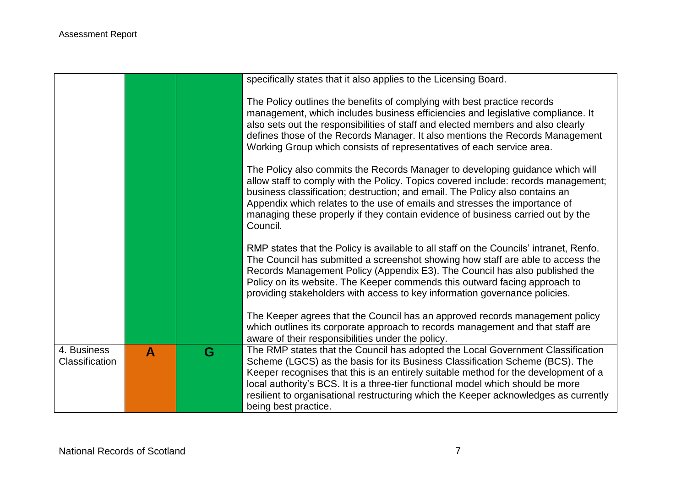| The Policy outlines the benefits of complying with best practice records                                                                                                                                                                                                                                                                                                                                                                                                                             |
|------------------------------------------------------------------------------------------------------------------------------------------------------------------------------------------------------------------------------------------------------------------------------------------------------------------------------------------------------------------------------------------------------------------------------------------------------------------------------------------------------|
| management, which includes business efficiencies and legislative compliance. It<br>also sets out the responsibilities of staff and elected members and also clearly<br>defines those of the Records Manager. It also mentions the Records Management<br>Working Group which consists of representatives of each service area.<br>The Policy also commits the Records Manager to developing guidance which will<br>allow staff to comply with the Policy. Topics covered include: records management; |
| business classification; destruction; and email. The Policy also contains an<br>Appendix which relates to the use of emails and stresses the importance of<br>managing these properly if they contain evidence of business carried out by the                                                                                                                                                                                                                                                        |
| RMP states that the Policy is available to all staff on the Councils' intranet, Renfo.<br>The Council has submitted a screenshot showing how staff are able to access the<br>Records Management Policy (Appendix E3). The Council has also published the<br>Policy on its website. The Keeper commends this outward facing approach to<br>providing stakeholders with access to key information governance policies.                                                                                 |
| The Keeper agrees that the Council has an approved records management policy<br>which outlines its corporate approach to records management and that staff are                                                                                                                                                                                                                                                                                                                                       |
| The RMP states that the Council has adopted the Local Government Classification<br>Scheme (LGCS) as the basis for its Business Classification Scheme (BCS). The<br>Keeper recognises that this is an entirely suitable method for the development of a<br>local authority's BCS. It is a three-tier functional model which should be more<br>resilient to organisational restructuring which the Keeper acknowledges as currently                                                                    |
|                                                                                                                                                                                                                                                                                                                                                                                                                                                                                                      |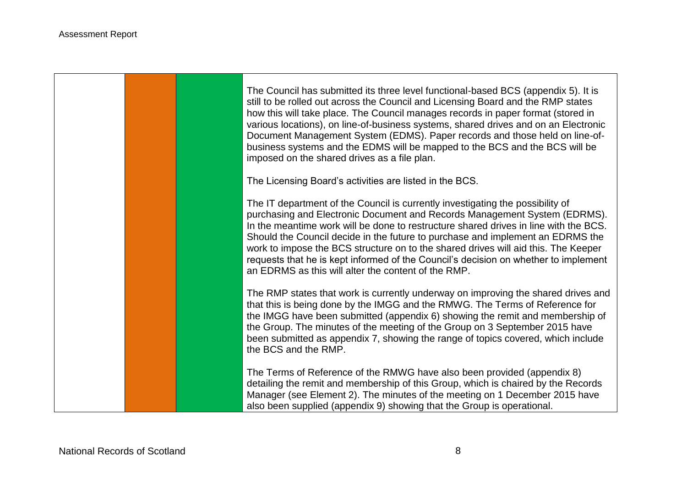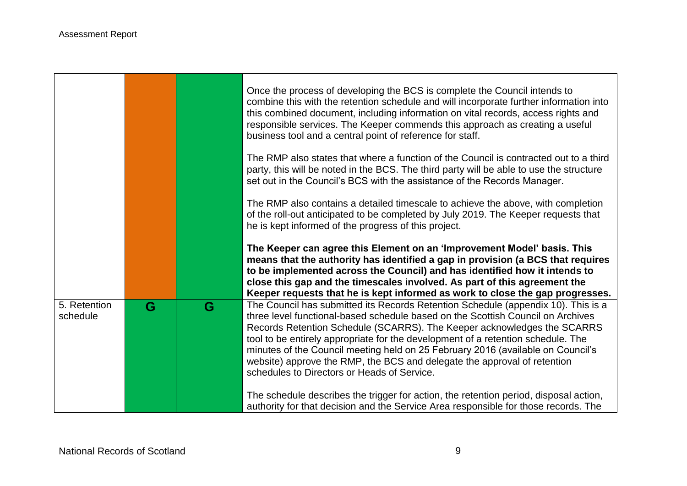and the

**Contract** 

 $\blacksquare$ 

|                          |   |   | Once the process of developing the BCS is complete the Council intends to<br>combine this with the retention schedule and will incorporate further information into<br>this combined document, including information on vital records, access rights and<br>responsible services. The Keeper commends this approach as creating a useful<br>business tool and a central point of reference for staff.                                                                                                                                             |
|--------------------------|---|---|---------------------------------------------------------------------------------------------------------------------------------------------------------------------------------------------------------------------------------------------------------------------------------------------------------------------------------------------------------------------------------------------------------------------------------------------------------------------------------------------------------------------------------------------------|
|                          |   |   | The RMP also states that where a function of the Council is contracted out to a third<br>party, this will be noted in the BCS. The third party will be able to use the structure<br>set out in the Council's BCS with the assistance of the Records Manager.                                                                                                                                                                                                                                                                                      |
|                          |   |   | The RMP also contains a detailed timescale to achieve the above, with completion<br>of the roll-out anticipated to be completed by July 2019. The Keeper requests that<br>he is kept informed of the progress of this project.                                                                                                                                                                                                                                                                                                                    |
|                          |   |   | The Keeper can agree this Element on an 'Improvement Model' basis. This<br>means that the authority has identified a gap in provision (a BCS that requires<br>to be implemented across the Council) and has identified how it intends to<br>close this gap and the timescales involved. As part of this agreement the<br>Keeper requests that he is kept informed as work to close the gap progresses.                                                                                                                                            |
| 5. Retention<br>schedule | G | G | The Council has submitted its Records Retention Schedule (appendix 10). This is a<br>three level functional-based schedule based on the Scottish Council on Archives<br>Records Retention Schedule (SCARRS). The Keeper acknowledges the SCARRS<br>tool to be entirely appropriate for the development of a retention schedule. The<br>minutes of the Council meeting held on 25 February 2016 (available on Council's<br>website) approve the RMP, the BCS and delegate the approval of retention<br>schedules to Directors or Heads of Service. |
|                          |   |   | The schedule describes the trigger for action, the retention period, disposal action,<br>authority for that decision and the Service Area responsible for those records. The                                                                                                                                                                                                                                                                                                                                                                      |

Ξ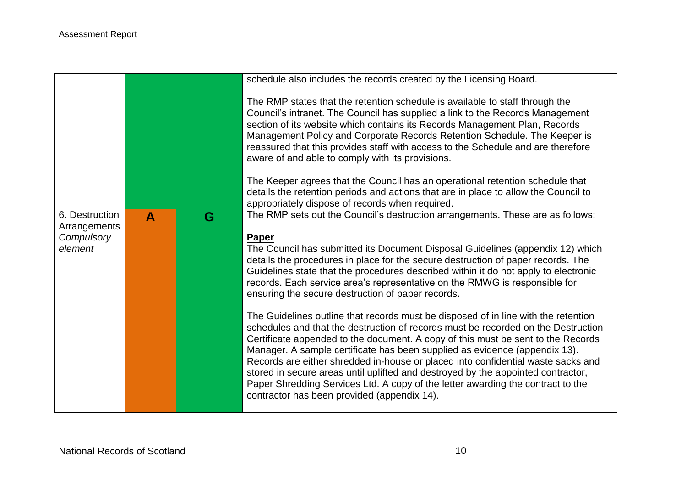|                                                         |   |   | schedule also includes the records created by the Licensing Board.                                                                                                                                                                                                                                                                                                                                                                                                                                                                                                                                                                                  |
|---------------------------------------------------------|---|---|-----------------------------------------------------------------------------------------------------------------------------------------------------------------------------------------------------------------------------------------------------------------------------------------------------------------------------------------------------------------------------------------------------------------------------------------------------------------------------------------------------------------------------------------------------------------------------------------------------------------------------------------------------|
|                                                         |   |   | The RMP states that the retention schedule is available to staff through the<br>Council's intranet. The Council has supplied a link to the Records Management<br>section of its website which contains its Records Management Plan, Records<br>Management Policy and Corporate Records Retention Schedule. The Keeper is<br>reassured that this provides staff with access to the Schedule and are therefore<br>aware of and able to comply with its provisions.                                                                                                                                                                                    |
|                                                         |   |   | The Keeper agrees that the Council has an operational retention schedule that<br>details the retention periods and actions that are in place to allow the Council to<br>appropriately dispose of records when required.                                                                                                                                                                                                                                                                                                                                                                                                                             |
| 6. Destruction<br>Arrangements<br>Compulsory<br>element | A | G | The RMP sets out the Council's destruction arrangements. These are as follows:<br><b>Paper</b><br>The Council has submitted its Document Disposal Guidelines (appendix 12) which<br>details the procedures in place for the secure destruction of paper records. The<br>Guidelines state that the procedures described within it do not apply to electronic<br>records. Each service area's representative on the RMWG is responsible for<br>ensuring the secure destruction of paper records.                                                                                                                                                      |
|                                                         |   |   | The Guidelines outline that records must be disposed of in line with the retention<br>schedules and that the destruction of records must be recorded on the Destruction<br>Certificate appended to the document. A copy of this must be sent to the Records<br>Manager. A sample certificate has been supplied as evidence (appendix 13).<br>Records are either shredded in-house or placed into confidential waste sacks and<br>stored in secure areas until uplifted and destroyed by the appointed contractor,<br>Paper Shredding Services Ltd. A copy of the letter awarding the contract to the<br>contractor has been provided (appendix 14). |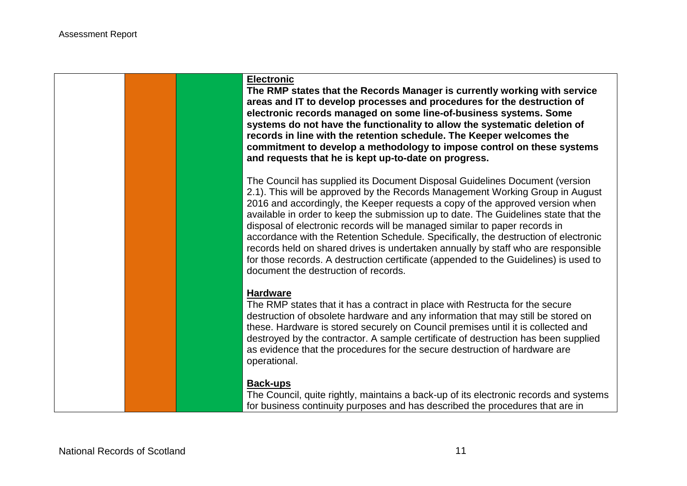#### **Electronic**

**The RMP states that the Records Manager is currently working with service areas and IT to develop processes and procedures for the destruction of electronic records managed on some line-of-business systems. Some systems do not have the functionality to allow the systematic deletion of records in line with the retention schedule. The Keeper welcomes the commitment to develop a methodology to impose control on these systems and requests that he is kept up-to-date on progress.**

The Council has supplied its Document Disposal Guidelines Document (version 2.1). This will be approved by the Records Management Working Group in August 2016 and accordingly, the Keeper requests a copy of the approved version when available in order to keep the submission up to date. The Guidelines state that the disposal of electronic records will be managed similar to paper records in accordance with the Retention Schedule. Specifically, the destruction of electronic records held on shared drives is undertaken annually by staff who are responsible for those records. A destruction certificate (appended to the Guidelines) is used to document the destruction of records.

#### **Hardware**

The RMP states that it has a contract in place with Restructa for the secure destruction of obsolete hardware and any information that may still be stored on these. Hardware is stored securely on Council premises until it is collected and destroyed by the contractor. A sample certificate of destruction has been supplied as evidence that the procedures for the secure destruction of hardware are operational.

#### **Back-ups**

The Council, quite rightly, maintains a back-up of its electronic records and systems for business continuity purposes and has described the procedures that are in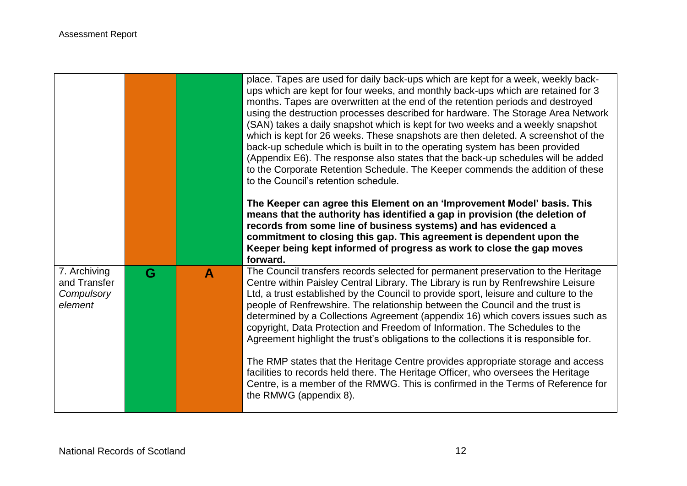|                                                       |   |   | place. Tapes are used for daily back-ups which are kept for a week, weekly back-<br>ups which are kept for four weeks, and monthly back-ups which are retained for 3<br>months. Tapes are overwritten at the end of the retention periods and destroyed<br>using the destruction processes described for hardware. The Storage Area Network<br>(SAN) takes a daily snapshot which is kept for two weeks and a weekly snapshot<br>which is kept for 26 weeks. These snapshots are then deleted. A screenshot of the<br>back-up schedule which is built in to the operating system has been provided<br>(Appendix E6). The response also states that the back-up schedules will be added<br>to the Corporate Retention Schedule. The Keeper commends the addition of these<br>to the Council's retention schedule.<br>The Keeper can agree this Element on an 'Improvement Model' basis. This<br>means that the authority has identified a gap in provision (the deletion of |
|-------------------------------------------------------|---|---|----------------------------------------------------------------------------------------------------------------------------------------------------------------------------------------------------------------------------------------------------------------------------------------------------------------------------------------------------------------------------------------------------------------------------------------------------------------------------------------------------------------------------------------------------------------------------------------------------------------------------------------------------------------------------------------------------------------------------------------------------------------------------------------------------------------------------------------------------------------------------------------------------------------------------------------------------------------------------|
|                                                       |   |   | records from some line of business systems) and has evidenced a<br>commitment to closing this gap. This agreement is dependent upon the<br>Keeper being kept informed of progress as work to close the gap moves<br>forward.                                                                                                                                                                                                                                                                                                                                                                                                                                                                                                                                                                                                                                                                                                                                               |
| 7. Archiving<br>and Transfer<br>Compulsory<br>element | G | A | The Council transfers records selected for permanent preservation to the Heritage<br>Centre within Paisley Central Library. The Library is run by Renfrewshire Leisure<br>Ltd, a trust established by the Council to provide sport, leisure and culture to the<br>people of Renfrewshire. The relationship between the Council and the trust is<br>determined by a Collections Agreement (appendix 16) which covers issues such as<br>copyright, Data Protection and Freedom of Information. The Schedules to the<br>Agreement highlight the trust's obligations to the collections it is responsible for.                                                                                                                                                                                                                                                                                                                                                                 |
|                                                       |   |   | The RMP states that the Heritage Centre provides appropriate storage and access<br>facilities to records held there. The Heritage Officer, who oversees the Heritage<br>Centre, is a member of the RMWG. This is confirmed in the Terms of Reference for<br>the RMWG (appendix 8).                                                                                                                                                                                                                                                                                                                                                                                                                                                                                                                                                                                                                                                                                         |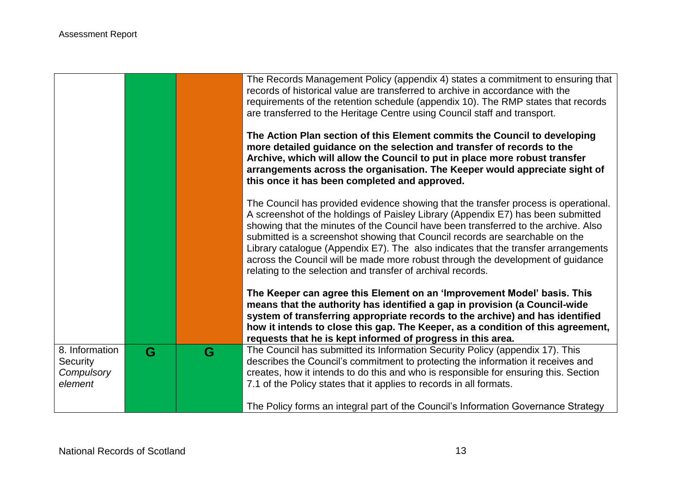|                                                            |   |   | The Records Management Policy (appendix 4) states a commitment to ensuring that<br>records of historical value are transferred to archive in accordance with the<br>requirements of the retention schedule (appendix 10). The RMP states that records<br>are transferred to the Heritage Centre using Council staff and transport.                                                                                                                                                                                                                                                    |
|------------------------------------------------------------|---|---|---------------------------------------------------------------------------------------------------------------------------------------------------------------------------------------------------------------------------------------------------------------------------------------------------------------------------------------------------------------------------------------------------------------------------------------------------------------------------------------------------------------------------------------------------------------------------------------|
|                                                            |   |   | The Action Plan section of this Element commits the Council to developing<br>more detailed guidance on the selection and transfer of records to the<br>Archive, which will allow the Council to put in place more robust transfer<br>arrangements across the organisation. The Keeper would appreciate sight of<br>this once it has been completed and approved.                                                                                                                                                                                                                      |
|                                                            |   |   | The Council has provided evidence showing that the transfer process is operational.<br>A screenshot of the holdings of Paisley Library (Appendix E7) has been submitted<br>showing that the minutes of the Council have been transferred to the archive. Also<br>submitted is a screenshot showing that Council records are searchable on the<br>Library catalogue (Appendix E7). The also indicates that the transfer arrangements<br>across the Council will be made more robust through the development of guidance<br>relating to the selection and transfer of archival records. |
|                                                            |   |   | The Keeper can agree this Element on an 'Improvement Model' basis. This<br>means that the authority has identified a gap in provision (a Council-wide<br>system of transferring appropriate records to the archive) and has identified<br>how it intends to close this gap. The Keeper, as a condition of this agreement,<br>requests that he is kept informed of progress in this area.                                                                                                                                                                                              |
| 8. Information<br><b>Security</b><br>Compulsory<br>element | G | G | The Council has submitted its Information Security Policy (appendix 17). This<br>describes the Council's commitment to protecting the information it receives and<br>creates, how it intends to do this and who is responsible for ensuring this. Section<br>7.1 of the Policy states that it applies to records in all formats.                                                                                                                                                                                                                                                      |
|                                                            |   |   | The Policy forms an integral part of the Council's Information Governance Strategy                                                                                                                                                                                                                                                                                                                                                                                                                                                                                                    |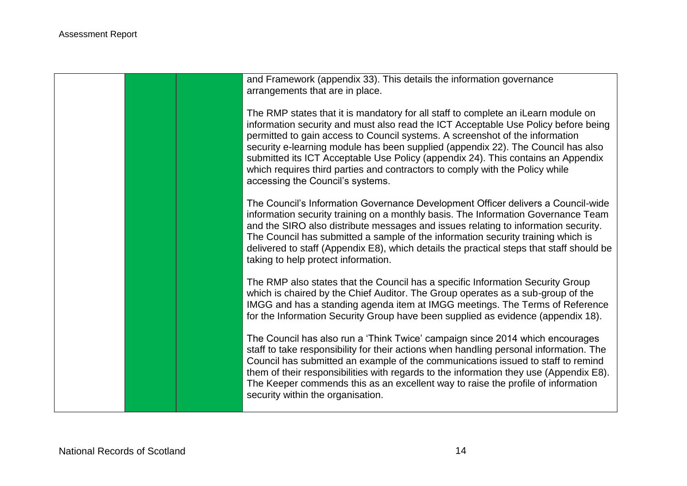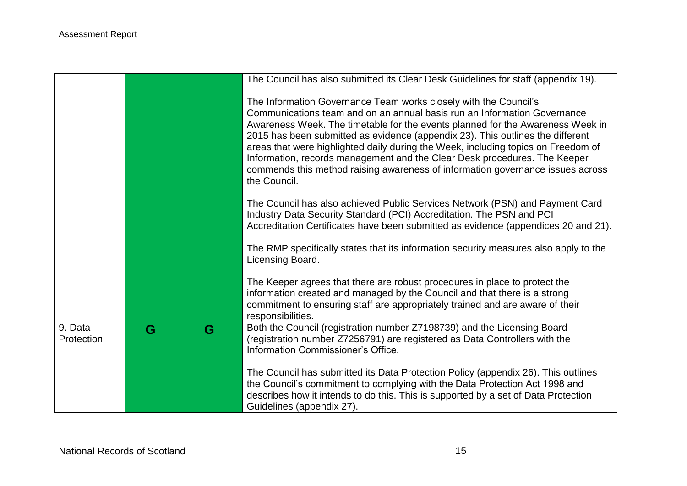|                       |   |   | The Council has also submitted its Clear Desk Guidelines for staff (appendix 19).                                                                                                                                                                                                                                                                                                                                                                                                                                                                                                    |
|-----------------------|---|---|--------------------------------------------------------------------------------------------------------------------------------------------------------------------------------------------------------------------------------------------------------------------------------------------------------------------------------------------------------------------------------------------------------------------------------------------------------------------------------------------------------------------------------------------------------------------------------------|
|                       |   |   | The Information Governance Team works closely with the Council's<br>Communications team and on an annual basis run an Information Governance<br>Awareness Week. The timetable for the events planned for the Awareness Week in<br>2015 has been submitted as evidence (appendix 23). This outlines the different<br>areas that were highlighted daily during the Week, including topics on Freedom of<br>Information, records management and the Clear Desk procedures. The Keeper<br>commends this method raising awareness of information governance issues across<br>the Council. |
|                       |   |   | The Council has also achieved Public Services Network (PSN) and Payment Card<br>Industry Data Security Standard (PCI) Accreditation. The PSN and PCI<br>Accreditation Certificates have been submitted as evidence (appendices 20 and 21).                                                                                                                                                                                                                                                                                                                                           |
|                       |   |   | The RMP specifically states that its information security measures also apply to the<br>Licensing Board.                                                                                                                                                                                                                                                                                                                                                                                                                                                                             |
|                       |   |   | The Keeper agrees that there are robust procedures in place to protect the<br>information created and managed by the Council and that there is a strong<br>commitment to ensuring staff are appropriately trained and are aware of their<br>responsibilities.                                                                                                                                                                                                                                                                                                                        |
| 9. Data<br>Protection | G | G | Both the Council (registration number Z7198739) and the Licensing Board<br>(registration number Z7256791) are registered as Data Controllers with the<br>Information Commissioner's Office.                                                                                                                                                                                                                                                                                                                                                                                          |
|                       |   |   | The Council has submitted its Data Protection Policy (appendix 26). This outlines<br>the Council's commitment to complying with the Data Protection Act 1998 and<br>describes how it intends to do this. This is supported by a set of Data Protection<br>Guidelines (appendix 27).                                                                                                                                                                                                                                                                                                  |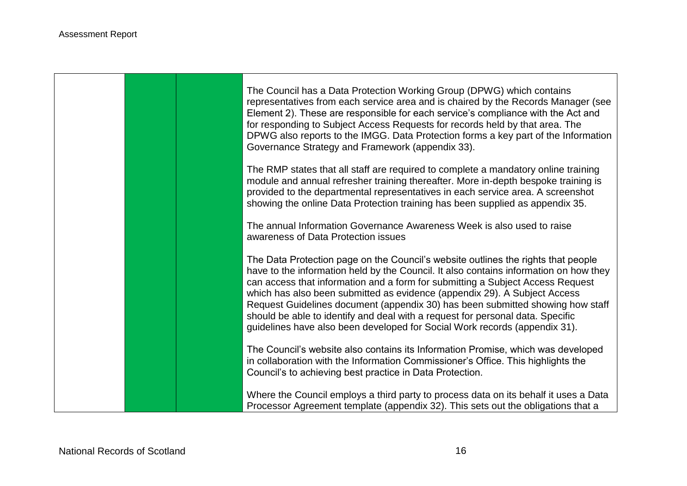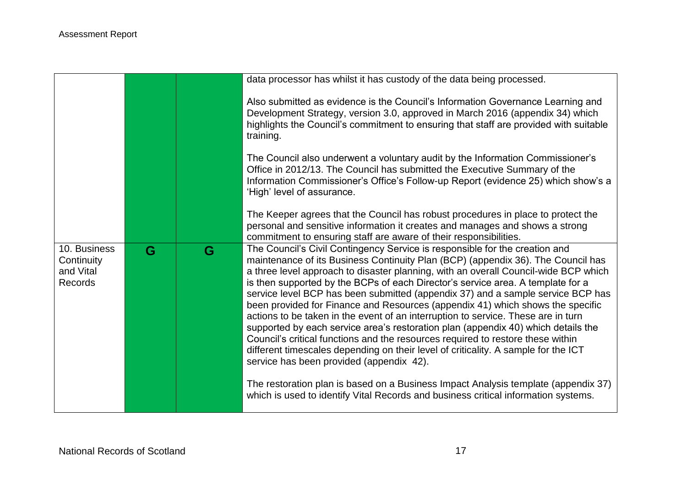|                                                    |   |   | data processor has whilst it has custody of the data being processed.                                                                                                                                                                                                                                                                                                                                                                                                                                                                                                                                                                                                                                                                                                                                                                                                                                         |
|----------------------------------------------------|---|---|---------------------------------------------------------------------------------------------------------------------------------------------------------------------------------------------------------------------------------------------------------------------------------------------------------------------------------------------------------------------------------------------------------------------------------------------------------------------------------------------------------------------------------------------------------------------------------------------------------------------------------------------------------------------------------------------------------------------------------------------------------------------------------------------------------------------------------------------------------------------------------------------------------------|
|                                                    |   |   | Also submitted as evidence is the Council's Information Governance Learning and<br>Development Strategy, version 3.0, approved in March 2016 (appendix 34) which<br>highlights the Council's commitment to ensuring that staff are provided with suitable<br>training.                                                                                                                                                                                                                                                                                                                                                                                                                                                                                                                                                                                                                                        |
|                                                    |   |   | The Council also underwent a voluntary audit by the Information Commissioner's<br>Office in 2012/13. The Council has submitted the Executive Summary of the<br>Information Commissioner's Office's Follow-up Report (evidence 25) which show's a<br>'High' level of assurance.                                                                                                                                                                                                                                                                                                                                                                                                                                                                                                                                                                                                                                |
|                                                    |   |   | The Keeper agrees that the Council has robust procedures in place to protect the<br>personal and sensitive information it creates and manages and shows a strong<br>commitment to ensuring staff are aware of their responsibilities.                                                                                                                                                                                                                                                                                                                                                                                                                                                                                                                                                                                                                                                                         |
| 10. Business<br>Continuity<br>and Vital<br>Records | G | G | The Council's Civil Contingency Service is responsible for the creation and<br>maintenance of its Business Continuity Plan (BCP) (appendix 36). The Council has<br>a three level approach to disaster planning, with an overall Council-wide BCP which<br>is then supported by the BCPs of each Director's service area. A template for a<br>service level BCP has been submitted (appendix 37) and a sample service BCP has<br>been provided for Finance and Resources (appendix 41) which shows the specific<br>actions to be taken in the event of an interruption to service. These are in turn<br>supported by each service area's restoration plan (appendix 40) which details the<br>Council's critical functions and the resources required to restore these within<br>different timescales depending on their level of criticality. A sample for the ICT<br>service has been provided (appendix 42). |
|                                                    |   |   | The restoration plan is based on a Business Impact Analysis template (appendix 37)                                                                                                                                                                                                                                                                                                                                                                                                                                                                                                                                                                                                                                                                                                                                                                                                                            |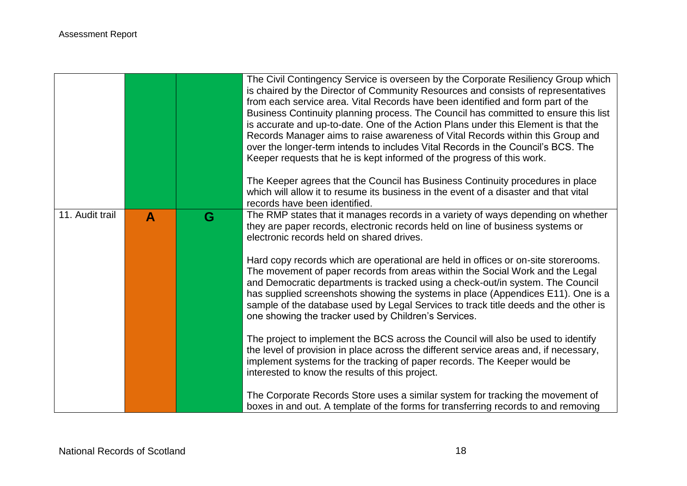|                 |   |   | The Civil Contingency Service is overseen by the Corporate Resiliency Group which<br>is chaired by the Director of Community Resources and consists of representatives<br>from each service area. Vital Records have been identified and form part of the<br>Business Continuity planning process. The Council has committed to ensure this list<br>is accurate and up-to-date. One of the Action Plans under this Element is that the<br>Records Manager aims to raise awareness of Vital Records within this Group and<br>over the longer-term intends to includes Vital Records in the Council's BCS. The<br>Keeper requests that he is kept informed of the progress of this work.<br>The Keeper agrees that the Council has Business Continuity procedures in place<br>which will allow it to resume its business in the event of a disaster and that vital<br>records have been identified. |
|-----------------|---|---|---------------------------------------------------------------------------------------------------------------------------------------------------------------------------------------------------------------------------------------------------------------------------------------------------------------------------------------------------------------------------------------------------------------------------------------------------------------------------------------------------------------------------------------------------------------------------------------------------------------------------------------------------------------------------------------------------------------------------------------------------------------------------------------------------------------------------------------------------------------------------------------------------|
| 11. Audit trail | A | G | The RMP states that it manages records in a variety of ways depending on whether<br>they are paper records, electronic records held on line of business systems or<br>electronic records held on shared drives.                                                                                                                                                                                                                                                                                                                                                                                                                                                                                                                                                                                                                                                                                   |
|                 |   |   | Hard copy records which are operational are held in offices or on-site storerooms.<br>The movement of paper records from areas within the Social Work and the Legal<br>and Democratic departments is tracked using a check-out/in system. The Council<br>has supplied screenshots showing the systems in place (Appendices E11). One is a<br>sample of the database used by Legal Services to track title deeds and the other is<br>one showing the tracker used by Children's Services.                                                                                                                                                                                                                                                                                                                                                                                                          |
|                 |   |   | The project to implement the BCS across the Council will also be used to identify<br>the level of provision in place across the different service areas and, if necessary,<br>implement systems for the tracking of paper records. The Keeper would be<br>interested to know the results of this project.                                                                                                                                                                                                                                                                                                                                                                                                                                                                                                                                                                                         |
|                 |   |   | The Corporate Records Store uses a similar system for tracking the movement of<br>boxes in and out. A template of the forms for transferring records to and removing                                                                                                                                                                                                                                                                                                                                                                                                                                                                                                                                                                                                                                                                                                                              |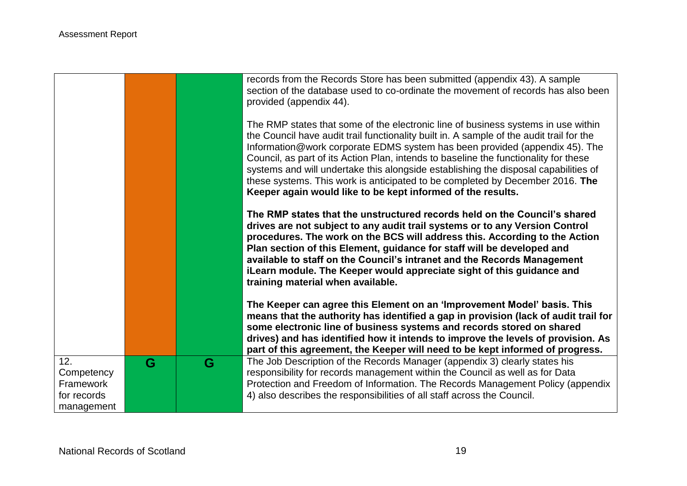|                                                             |   |   | records from the Records Store has been submitted (appendix 43). A sample<br>section of the database used to co-ordinate the movement of records has also been<br>provided (appendix 44).                                                                                                                                                                                                                                                                                                                                                                                                   |
|-------------------------------------------------------------|---|---|---------------------------------------------------------------------------------------------------------------------------------------------------------------------------------------------------------------------------------------------------------------------------------------------------------------------------------------------------------------------------------------------------------------------------------------------------------------------------------------------------------------------------------------------------------------------------------------------|
|                                                             |   |   | The RMP states that some of the electronic line of business systems in use within<br>the Council have audit trail functionality built in. A sample of the audit trail for the<br>Information@work corporate EDMS system has been provided (appendix 45). The<br>Council, as part of its Action Plan, intends to baseline the functionality for these<br>systems and will undertake this alongside establishing the disposal capabilities of<br>these systems. This work is anticipated to be completed by December 2016. The<br>Keeper again would like to be kept informed of the results. |
|                                                             |   |   | The RMP states that the unstructured records held on the Council's shared<br>drives are not subject to any audit trail systems or to any Version Control<br>procedures. The work on the BCS will address this. According to the Action<br>Plan section of this Element, guidance for staff will be developed and<br>available to staff on the Council's intranet and the Records Management<br>iLearn module. The Keeper would appreciate sight of this guidance and<br>training material when available.                                                                                   |
|                                                             |   |   | The Keeper can agree this Element on an 'Improvement Model' basis. This<br>means that the authority has identified a gap in provision (lack of audit trail for<br>some electronic line of business systems and records stored on shared<br>drives) and has identified how it intends to improve the levels of provision. As<br>part of this agreement, the Keeper will need to be kept informed of progress.                                                                                                                                                                                |
| 12.<br>Competency<br>Framework<br>for records<br>management | G | G | The Job Description of the Records Manager (appendix 3) clearly states his<br>responsibility for records management within the Council as well as for Data<br>Protection and Freedom of Information. The Records Management Policy (appendix<br>4) also describes the responsibilities of all staff across the Council.                                                                                                                                                                                                                                                                     |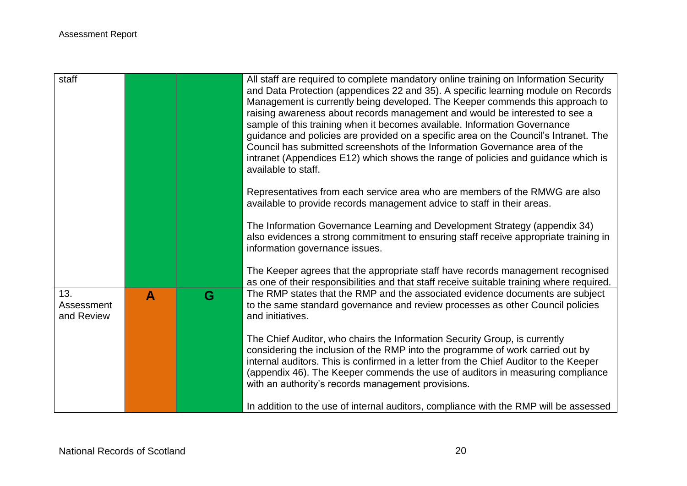| staff                           |   |   | All staff are required to complete mandatory online training on Information Security<br>and Data Protection (appendices 22 and 35). A specific learning module on Records<br>Management is currently being developed. The Keeper commends this approach to<br>raising awareness about records management and would be interested to see a<br>sample of this training when it becomes available. Information Governance<br>guidance and policies are provided on a specific area on the Council's Intranet. The<br>Council has submitted screenshots of the Information Governance area of the<br>intranet (Appendices E12) which shows the range of policies and guidance which is<br>available to staff. |
|---------------------------------|---|---|-----------------------------------------------------------------------------------------------------------------------------------------------------------------------------------------------------------------------------------------------------------------------------------------------------------------------------------------------------------------------------------------------------------------------------------------------------------------------------------------------------------------------------------------------------------------------------------------------------------------------------------------------------------------------------------------------------------|
|                                 |   |   | Representatives from each service area who are members of the RMWG are also<br>available to provide records management advice to staff in their areas.<br>The Information Governance Learning and Development Strategy (appendix 34)<br>also evidences a strong commitment to ensuring staff receive appropriate training in<br>information governance issues.                                                                                                                                                                                                                                                                                                                                            |
|                                 |   |   | The Keeper agrees that the appropriate staff have records management recognised<br>as one of their responsibilities and that staff receive suitable training where required.                                                                                                                                                                                                                                                                                                                                                                                                                                                                                                                              |
| 13.<br>Assessment<br>and Review | A | G | The RMP states that the RMP and the associated evidence documents are subject<br>to the same standard governance and review processes as other Council policies<br>and initiatives.                                                                                                                                                                                                                                                                                                                                                                                                                                                                                                                       |
|                                 |   |   | The Chief Auditor, who chairs the Information Security Group, is currently<br>considering the inclusion of the RMP into the programme of work carried out by<br>internal auditors. This is confirmed in a letter from the Chief Auditor to the Keeper<br>(appendix 46). The Keeper commends the use of auditors in measuring compliance<br>with an authority's records management provisions.                                                                                                                                                                                                                                                                                                             |
|                                 |   |   | In addition to the use of internal auditors, compliance with the RMP will be assessed                                                                                                                                                                                                                                                                                                                                                                                                                                                                                                                                                                                                                     |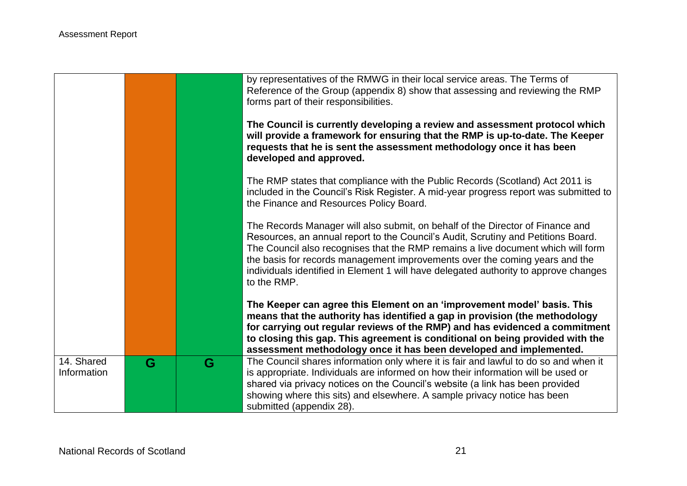|                           |   |   | by representatives of the RMWG in their local service areas. The Terms of<br>Reference of the Group (appendix 8) show that assessing and reviewing the RMP<br>forms part of their responsibilities.<br>The Council is currently developing a review and assessment protocol which<br>will provide a framework for ensuring that the RMP is up-to-date. The Keeper<br>requests that he is sent the assessment methodology once it has been<br>developed and approved. |
|---------------------------|---|---|----------------------------------------------------------------------------------------------------------------------------------------------------------------------------------------------------------------------------------------------------------------------------------------------------------------------------------------------------------------------------------------------------------------------------------------------------------------------|
|                           |   |   | The RMP states that compliance with the Public Records (Scotland) Act 2011 is<br>included in the Council's Risk Register. A mid-year progress report was submitted to<br>the Finance and Resources Policy Board.                                                                                                                                                                                                                                                     |
|                           |   |   | The Records Manager will also submit, on behalf of the Director of Finance and<br>Resources, an annual report to the Council's Audit, Scrutiny and Petitions Board.<br>The Council also recognises that the RMP remains a live document which will form<br>the basis for records management improvements over the coming years and the<br>individuals identified in Element 1 will have delegated authority to approve changes<br>to the RMP.                        |
|                           |   |   | The Keeper can agree this Element on an 'improvement model' basis. This<br>means that the authority has identified a gap in provision (the methodology<br>for carrying out regular reviews of the RMP) and has evidenced a commitment<br>to closing this gap. This agreement is conditional on being provided with the<br>assessment methodology once it has been developed and implemented.                                                                         |
| 14. Shared<br>Information | G | G | The Council shares information only where it is fair and lawful to do so and when it<br>is appropriate. Individuals are informed on how their information will be used or<br>shared via privacy notices on the Council's website (a link has been provided<br>showing where this sits) and elsewhere. A sample privacy notice has been<br>submitted (appendix 28).                                                                                                   |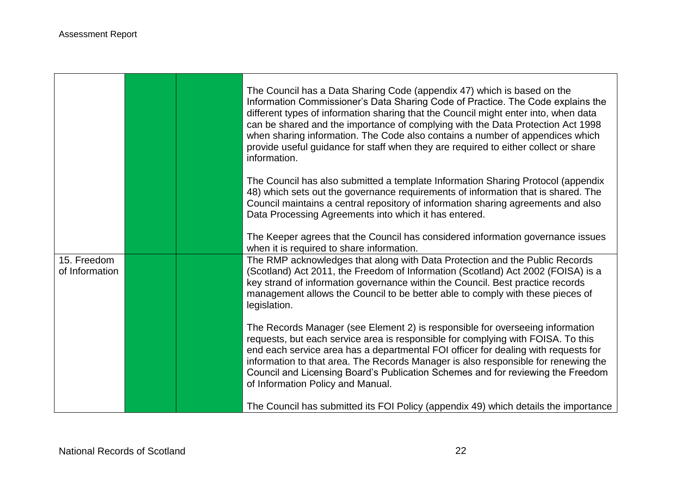$\Gamma$ 

|                               |  | The Council has a Data Sharing Code (appendix 47) which is based on the<br>Information Commissioner's Data Sharing Code of Practice. The Code explains the<br>different types of information sharing that the Council might enter into, when data<br>can be shared and the importance of complying with the Data Protection Act 1998<br>when sharing information. The Code also contains a number of appendices which<br>provide useful guidance for staff when they are required to either collect or share<br>information. |
|-------------------------------|--|------------------------------------------------------------------------------------------------------------------------------------------------------------------------------------------------------------------------------------------------------------------------------------------------------------------------------------------------------------------------------------------------------------------------------------------------------------------------------------------------------------------------------|
|                               |  | The Council has also submitted a template Information Sharing Protocol (appendix<br>48) which sets out the governance requirements of information that is shared. The<br>Council maintains a central repository of information sharing agreements and also<br>Data Processing Agreements into which it has entered.                                                                                                                                                                                                          |
|                               |  | The Keeper agrees that the Council has considered information governance issues<br>when it is required to share information.                                                                                                                                                                                                                                                                                                                                                                                                 |
| 15. Freedom<br>of Information |  | The RMP acknowledges that along with Data Protection and the Public Records<br>(Scotland) Act 2011, the Freedom of Information (Scotland) Act 2002 (FOISA) is a<br>key strand of information governance within the Council. Best practice records<br>management allows the Council to be better able to comply with these pieces of<br>legislation.                                                                                                                                                                          |
|                               |  | The Records Manager (see Element 2) is responsible for overseeing information<br>requests, but each service area is responsible for complying with FOISA. To this<br>end each service area has a departmental FOI officer for dealing with requests for<br>information to that area. The Records Manager is also responsible for renewing the<br>Council and Licensing Board's Publication Schemes and for reviewing the Freedom<br>of Information Policy and Manual.                                                        |
|                               |  | The Council has submitted its FOI Policy (appendix 49) which details the importance                                                                                                                                                                                                                                                                                                                                                                                                                                          |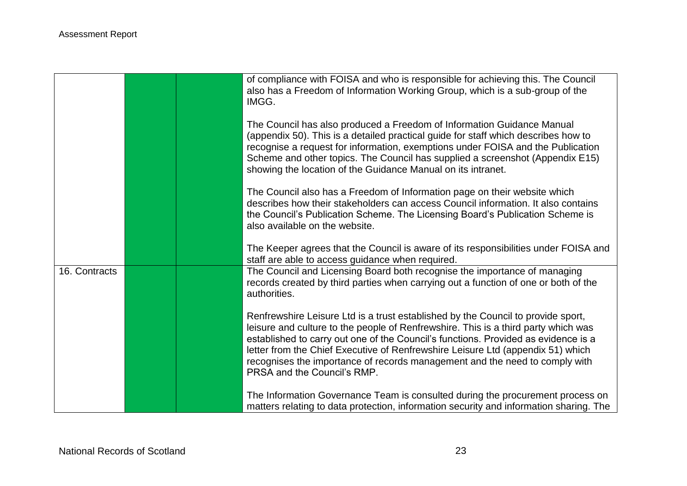|               | of compliance with FOISA and who is responsible for achieving this. The Council<br>also has a Freedom of Information Working Group, which is a sub-group of the<br>IMGG.                                                                                                                                                                                                                                                                                      |
|---------------|---------------------------------------------------------------------------------------------------------------------------------------------------------------------------------------------------------------------------------------------------------------------------------------------------------------------------------------------------------------------------------------------------------------------------------------------------------------|
|               | The Council has also produced a Freedom of Information Guidance Manual<br>(appendix 50). This is a detailed practical guide for staff which describes how to<br>recognise a request for information, exemptions under FOISA and the Publication<br>Scheme and other topics. The Council has supplied a screenshot (Appendix E15)<br>showing the location of the Guidance Manual on its intranet.                                                              |
|               | The Council also has a Freedom of Information page on their website which<br>describes how their stakeholders can access Council information. It also contains<br>the Council's Publication Scheme. The Licensing Board's Publication Scheme is<br>also available on the website.                                                                                                                                                                             |
|               | The Keeper agrees that the Council is aware of its responsibilities under FOISA and<br>staff are able to access guidance when required.                                                                                                                                                                                                                                                                                                                       |
| 16. Contracts | The Council and Licensing Board both recognise the importance of managing<br>records created by third parties when carrying out a function of one or both of the<br>authorities.                                                                                                                                                                                                                                                                              |
|               | Renfrewshire Leisure Ltd is a trust established by the Council to provide sport,<br>leisure and culture to the people of Renfrewshire. This is a third party which was<br>established to carry out one of the Council's functions. Provided as evidence is a<br>letter from the Chief Executive of Renfrewshire Leisure Ltd (appendix 51) which<br>recognises the importance of records management and the need to comply with<br>PRSA and the Council's RMP. |
|               | The Information Governance Team is consulted during the procurement process on<br>matters relating to data protection, information security and information sharing. The                                                                                                                                                                                                                                                                                      |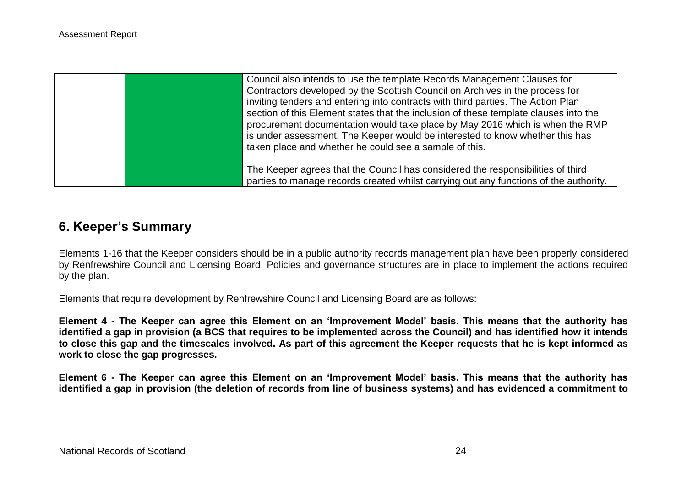| Council also intends to use the template Records Management Clauses for<br>Contractors developed by the Scottish Council on Archives in the process for<br>inviting tenders and entering into contracts with third parties. The Action Plan<br>section of this Element states that the inclusion of these template clauses into the<br>procurement documentation would take place by May 2016 which is when the RMP |
|---------------------------------------------------------------------------------------------------------------------------------------------------------------------------------------------------------------------------------------------------------------------------------------------------------------------------------------------------------------------------------------------------------------------|
| is under assessment. The Keeper would be interested to know whether this has<br>taken place and whether he could see a sample of this.<br>The Keeper agrees that the Council has considered the responsibilities of third<br>parties to manage records created whilst carrying out any functions of the authority.                                                                                                  |

## **6. Keeper's Summary**

Elements 1-16 that the Keeper considers should be in a public authority records management plan have been properly considered by Renfrewshire Council and Licensing Board. Policies and governance structures are in place to implement the actions required by the plan.

Elements that require development by Renfrewshire Council and Licensing Board are as follows:

**Element 4 - The Keeper can agree this Element on an 'Improvement Model' basis. This means that the authority has identified a gap in provision (a BCS that requires to be implemented across the Council) and has identified how it intends to close this gap and the timescales involved. As part of this agreement the Keeper requests that he is kept informed as work to close the gap progresses.**

**Element 6 - The Keeper can agree this Element on an 'Improvement Model' basis. This means that the authority has identified a gap in provision (the deletion of records from line of business systems) and has evidenced a commitment to**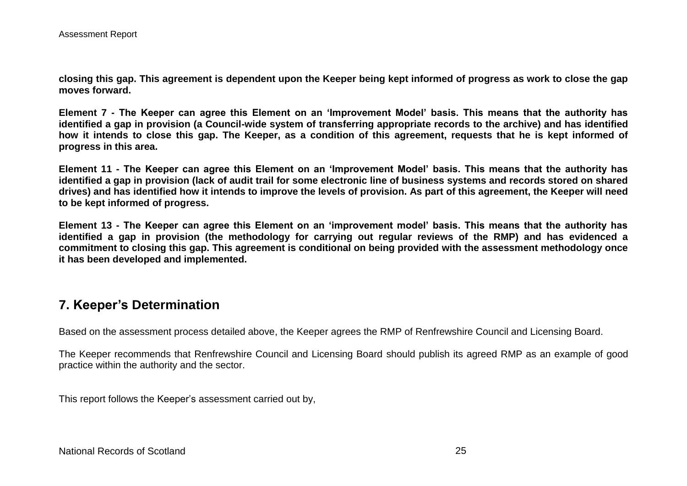**closing this gap. This agreement is dependent upon the Keeper being kept informed of progress as work to close the gap moves forward.**

**Element 7 - The Keeper can agree this Element on an 'Improvement Model' basis. This means that the authority has identified a gap in provision (a Council-wide system of transferring appropriate records to the archive) and has identified how it intends to close this gap. The Keeper, as a condition of this agreement, requests that he is kept informed of progress in this area.**

**Element 11 - The Keeper can agree this Element on an 'Improvement Model' basis. This means that the authority has identified a gap in provision (lack of audit trail for some electronic line of business systems and records stored on shared drives) and has identified how it intends to improve the levels of provision. As part of this agreement, the Keeper will need to be kept informed of progress.**

**Element 13 - The Keeper can agree this Element on an 'improvement model' basis. This means that the authority has identified a gap in provision (the methodology for carrying out regular reviews of the RMP) and has evidenced a commitment to closing this gap. This agreement is conditional on being provided with the assessment methodology once it has been developed and implemented.** 

## **7. Keeper's Determination**

Based on the assessment process detailed above, the Keeper agrees the RMP of Renfrewshire Council and Licensing Board.

The Keeper recommends that Renfrewshire Council and Licensing Board should publish its agreed RMP as an example of good practice within the authority and the sector.

This report follows the Keeper's assessment carried out by,